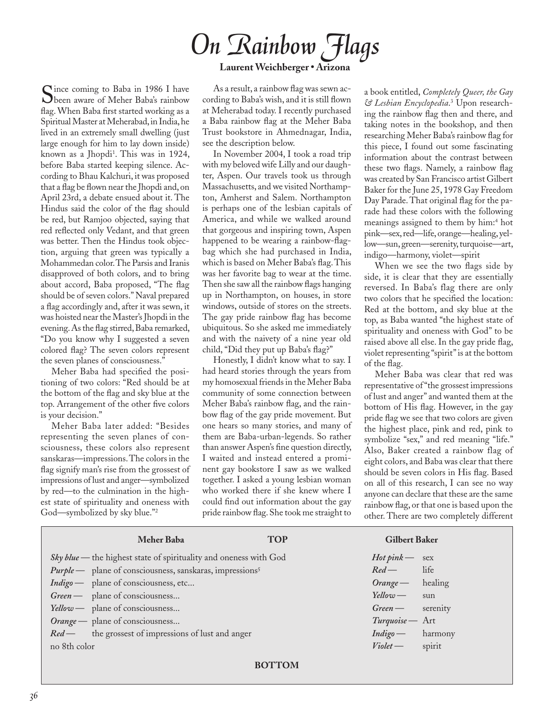## *On Rainbow Flags* **Laurent Weichberger • Arizona**

Since coming to Baba in 1986 I have<br>been aware of Meher Baba's rainbow flag. When Baba first started working as a Spiritual Master at Meherabad, in India, he lived in an extremely small dwelling (just large enough for him to lay down inside) known as a Jhopdi<sup>1</sup>. This was in 1924, before Baba started keeping silence. According to Bhau Kalchuri, it was proposed that a flag be flown near the Jhopdi and, on April 23rd, a debate ensued about it. The Hindus said the color of the flag should be red, but Ramjoo objected, saying that red reflected only Vedant, and that green was better. Then the Hindus took objection, arguing that green was typically a Mohammedan color. The Parsis and Iranis disapproved of both colors, and to bring about accord, Baba proposed, "The flag should be of seven colors." Naval prepared a flag accordingly and, after it was sewn, it was hoisted near the Master's Jhopdi in the evening. As the flag stirred, Baba remarked, "Do you know why I suggested a seven colored flag? The seven colors represent the seven planes of consciousness."

Meher Baba had specified the positioning of two colors: "Red should be at the bottom of the flag and sky blue at the top. Arrangement of the other five colors is your decision."

Meher Baba later added: "Besides representing the seven planes of consciousness, these colors also represent sanskaras—impressions. The colors in the flag signify man's rise from the grossest of impressions of lust and anger—symbolized by red—to the culmination in the highest state of spirituality and oneness with God—symbolized by sky blue."2

As a result, a rainbow flag was sewn according to Baba's wish, and it is still flown at Meherabad today. I recently purchased a Baba rainbow flag at the Meher Baba Trust bookstore in Ahmednagar, India, see the description below.

In November 2004, I took a road trip with my beloved wife Lilly and our daughter, Aspen. Our travels took us through Massachusetts, and we visited Northampton, Amherst and Salem. Northampton is perhaps one of the lesbian capitals of America, and while we walked around that gorgeous and inspiring town, Aspen happened to be wearing a rainbow-flagbag which she had purchased in India, which is based on Meher Baba's flag. This was her favorite bag to wear at the time. Then she saw all the rainbow flags hanging up in Northampton, on houses, in store windows, outside of stores on the streets. The gay pride rainbow flag has become ubiquitous. So she asked me immediately and with the naivety of a nine year old child, "Did they put up Baba's flag?"

Honestly, I didn't know what to say. I had heard stories through the years from my homosexual friends in the Meher Baba community of some connection between Meher Baba's rainbow flag, and the rainbow flag of the gay pride movement. But one hears so many stories, and many of them are Baba-urban-legends. So rather than answer Aspen's fine question directly, I waited and instead entered a prominent gay bookstore I saw as we walked together. I asked a young lesbian woman who worked there if she knew where I could find out information about the gay pride rainbow flag. She took me straight to

a book entitled, *Completely Queer, the Gay & Lesbian Encyclopedia*. 3 Upon researching the rainbow flag then and there, and taking notes in the bookshop, and then researching Meher Baba's rainbow flag for this piece, I found out some fascinating information about the contrast between these two flags. Namely, a rainbow flag was created by San Francisco artist Gilbert Baker for the June 25, 1978 Gay Freedom Day Parade. That original flag for the parade had these colors with the following meanings assigned to them by him: <sup>4</sup> hot pink—sex, red—life, orange—healing, yellow—sun, green—serenity, turquoise—art, indigo—harmony, violet—spirit

When we see the two flags side by side, it is clear that they are essentially reversed. In Baba's flag there are only two colors that he specified the location: Red at the bottom, and sky blue at the top, as Baba wanted "the highest state of spirituality and oneness with God" to be raised above all else. In the gay pride flag, violet representing "spirit" is at the bottom of the flag.

Meher Baba was clear that red was representative of "the grossest impressions of lust and anger" and wanted them at the bottom of His flag. However, in the gay pride flag we see that two colors are given the highest place, pink and red, pink to symbolize "sex," and red meaning "life." Also, Baker created a rainbow flag of eight colors, and Baba was clear that there should be seven colors in His flag. Based on all of this research, I can see no way anyone can declare that these are the same rainbow flag, or that one is based upon the other. There are two completely different

| <b>Meher Baba</b>                                                           | <b>TOP</b> | <b>Gilbert Baker</b> |
|-----------------------------------------------------------------------------|------------|----------------------|
| Sky blue - the highest state of spirituality and oneness with God           |            | $Hot pink$ sex       |
| <i>Purple</i> — plane of consciousness, sanskaras, impressions <sup>5</sup> |            | life<br>$Red$ —      |
| Indigo — plane of consciousness, etc                                        |            | $Orange$ healing     |
| Green — plane of consciousness                                              |            | Yellow - sun         |
| Yellow — plane of consciousness                                             |            | Green — serenity     |
| Orange — plane of consciousness                                             |            | Turquoise - Art      |
| <i>Red</i> — the grossest of impressions of lust and anger                  |            | $Indigo$ harmony     |
| no 8th color                                                                |            | spirit<br>Violet     |
|                                                                             |            |                      |